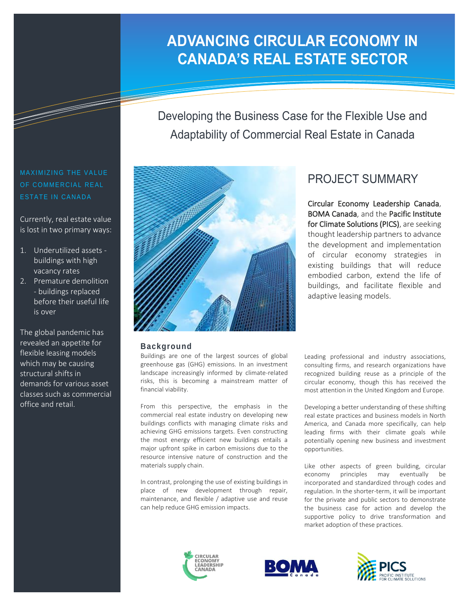# **ADVANCING CIRCULAR ECONOMY IN CANADA'S REAL ESTATE SECTOR**

Developing the Business Case for the Flexible Use and Adaptability of Commercial Real Estate in Canada

## MAXIMIZING THE VALUE OF COMMERCIAL REAL ESTATE IN CANADA

Currently, real estate value is lost in two primary ways:

- 1. Underutilized assets buildings with high vacancy rates
- 2. Premature demolition - buildings replaced before their useful life is over

The global pandemic has revealed an appetite for flexible leasing models which may be causing structural shifts in demands for various asset classes such as commercial office and retail.



#### **Background**

Buildings are one of the largest sources of global greenhouse gas (GHG) emissions. In an investment landscape increasingly informed by climate-related risks, this is becoming a mainstream matter of financial viability.

From this perspective, the emphasis in the commercial real estate industry on developing new buildings conflicts with managing climate risks and achieving GHG emissions targets. Even constructing the most energy efficient new buildings entails a major upfront spike in carbon emissions due to the resource intensive nature of construction and the materials supply chain.

In contrast, prolonging the use of existing buildings in place of new development through repair, maintenance, and flexible / adaptive use and reuse can help reduce GHG emission impacts.

# PROJECT SUMMARY

Circular Economy Leadership Canada, BOMA Canada, and the Pacific Institute for Climate Solutions (PICS), are seeking thought leadership partners to advance the development and implementation of circular economy strategies in existing buildings that will reduce embodied carbon, extend the life of buildings, and facilitate flexible and adaptive leasing models.

Leading professional and industry associations, consulting firms, and research organizations have recognized building reuse as a principle of the circular economy, though this has received the most attention in the United Kingdom and Europe.

Developing a better understanding of these shifting real estate practices and business models in North America, and Canada more specifically, can help leading firms with their climate goals while potentially opening new business and investment opportunities.

Like other aspects of green building, circular economy principles may eventually be incorporated and standardized through codes and regulation. In the shorter-term, it will be important for the private and public sectors to demonstrate the business case for action and develop the supportive policy to drive transformation and market adoption of these practices.